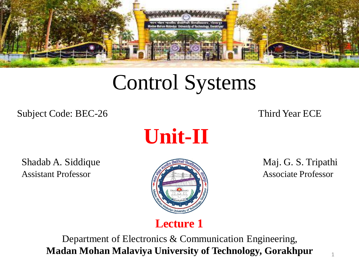

# Control Systems

Subject Code: BEC-26 Third Year ECE



Shadab A. Siddique Maj. G. S. Tripathi Assistant Professor **Associate Professor** Associate Professor



**Lecture 1**

Department of Electronics & Communication Engineering, **Madan Mohan Malaviya University of Technology, Gorakhpur**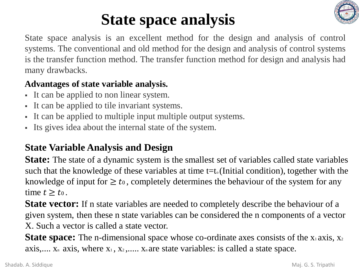

# **State space analysis**

State space analysis is an excellent method for the design and analysis of control systems. The conventional and old method for the design and analysis of control systems is the transfer function method. The transfer function method for design and analysis had many drawbacks.

#### **Advantages of state variable analysis.**

- It can be applied to non linear system.
- It can be applied to tile invariant systems.
- It can be applied to multiple input multiple output systems.
- Its gives idea about the internal state of the system.

### **State Variable Analysis and Design**

**State:** The state of a dynamic system is the smallest set of variables called state variables such that the knowledge of these variables at time  $t=t_0$  (Initial condition), together with the knowledge of input for  $\geq t_0$ , completely determines the behaviour of the system for any time  $t \geq t_0$ .

**State vector:** If n state variables are needed to completely describe the behaviour of a given system, then these n state variables can be considered the n components of a vector X. Such a vector is called a state vector.

**State space:** The n-dimensional space whose co-ordinate axes consists of the x<sub>1</sub> axis, x<sub>2</sub> axis,....  $X_n$  axis, where  $X_1, X_2, \ldots$ .  $X_n$  are state variables: is called a state space.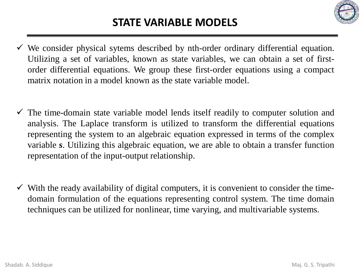

- $\checkmark$  We consider physical sytems described by nth-order ordinary differential equation. Utilizing a set of variables, known as state variables, we can obtain a set of firstorder differential equations. We group these first-order equations using a compact matrix notation in a model known as the state variable model.
- $\checkmark$  The time-domain state variable model lends itself readily to computer solution and analysis. The Laplace transform is utilized to transform the differential equations representing the system to an algebraic equation expressed in terms of the complex variable *s*. Utilizing this algebraic equation, we are able to obtain a transfer function representation of the input-output relationship.
- $\checkmark$  With the ready availability of digital computers, it is convenient to consider the timedomain formulation of the equations representing control system. The time domain techniques can be utilized for nonlinear, time varying, and multivariable systems.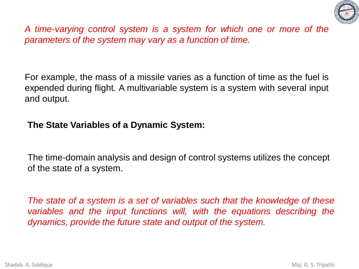

*A time-varying control system is a system for which one or more of the parameters of the system may vary as a function of time.*

For example, the mass of a missile varies as a function of time as the fuel is expended during flight. A multivariable system is a system with several input and output.

#### **The State Variables of a Dynamic System:**

The time-domain analysis and design of control systems utilizes the concept of the state of a system.

*The state of a system is a set of variables such that the knowledge of these variables and the input functions will, with the equations describing the dynamics, provide the future state and output of the system.*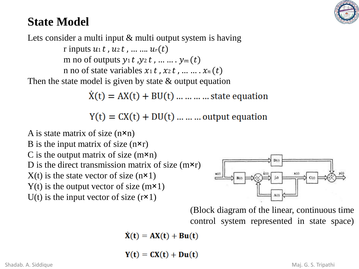

## **State Model**

Lets consider a multi input & multi output system is having r inputs  $u_1 t$ ,  $u_2 t$ , ... ...  $u_r(t)$ m no of outputs  $y_1 t$ ,  $y_2 t$ , ... ... .  $y_m(t)$ n no of state variables  $x_1 t$ ,  $x_2 t$ , ... ...  $x_n(t)$ Then the state model is given by state  $\&$  output equation

 $\dot{X}(t) = AX(t) + BU(t) \dots \dots \dots \dots$  state equation

 $Y(t) = CX(t) + DU(t) ... ...$  output equation

A is state matrix of size  $(n \times n)$ B is the input matrix of size  $(n \times r)$ C is the output matrix of size  $(m \times n)$ D is the direct transmission matrix of size  $(m \times r)$  $X(t)$  is the state vector of size (n $x$ 1)  $Y(t)$  is the output vector of size  $(m \times 1)$ U(t) is the input vector of size  $(r \times 1)$ 



(Block diagram of the linear, continuous time control system represented in state space)

 $\dot{X}(t) = AX(t) + Bu(t)$ 

 $Y(t) = CX(t) + Du(t)$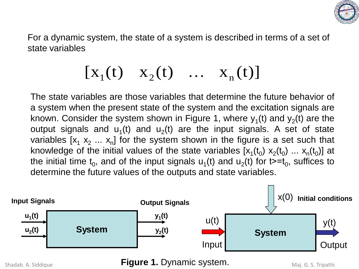

For a dynamic system, the state of a system is described in terms of a set of state variables

$$
[x_1(t) \quad x_2(t) \quad \dots \quad x_n(t)]
$$

The state variables are those variables that determine the future behavior of a system when the present state of the system and the excitation signals are known. Consider the system shown in Figure 1, where  $y_1(t)$  and  $y_2(t)$  are the output signals and  $u_1(t)$  and  $u_2(t)$  are the input signals. A set of state variables [x<sub>1</sub> x<sub>2</sub> ... x<sub>n</sub>] for the system shown in the figure is a set such that knowledge of the initial values of the state variables  $[x_1(t_0)$   $x_2(t_0)$  ...  $x_n(t_0)$ ] at the initial time  $\mathsf{t}_0$ , and of the input signals  $\mathsf{u}_1(\mathsf{t})$  and  $\mathsf{u}_2(\mathsf{t})$  for t>= $\mathsf{t}_0$ , suffices to determine the future values of the outputs and state variables.



Shadab. A. Siddique **Figure 1. Dynamic system.** Maj. G. S. Tripathi